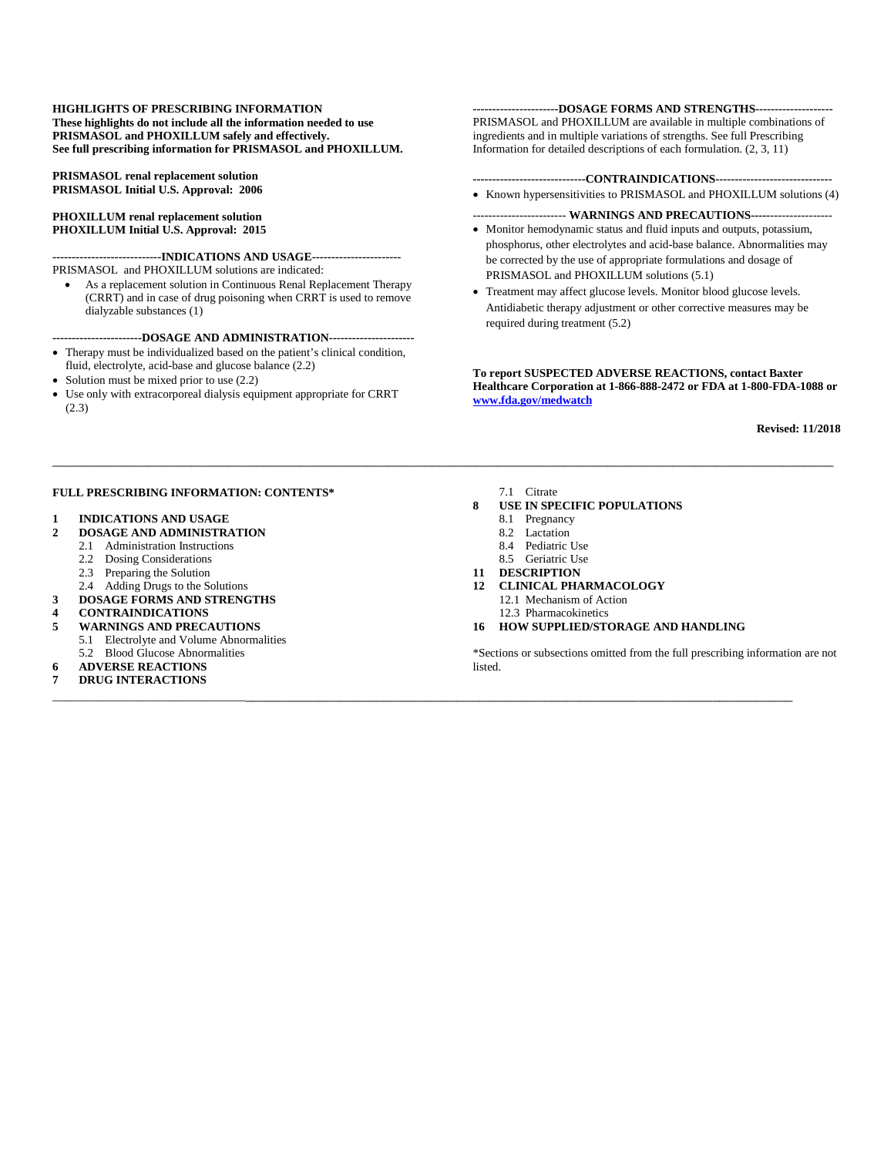#### **HIGHLIGHTS OF PRESCRIBING INFORMATION These highlights do not include all the information needed to use PRISMASOL and PHOXILLUM safely and effectively. See full prescribing information for PRISMASOL and PHOXILLUM.**

**PRISMASOL renal replacement solution PRISMASOL Initial U.S. Approval: 2006** 

#### **PHOXILLUM renal replacement solution PHOXILLUM Initial U.S. Approval: 2015**

**----------------------------INDICATIONS AND USAGE-----------------------**  PRISMASOL and PHOXILLUM solutions are indicated:

• As a replacement solution in Continuous Renal Replacement Therapy (CRRT) and in case of drug poisoning when CRRT is used to remove dialyzable substances (1)

#### **-----------------------DOSAGE AND ADMINISTRATION----------------------**

- Therapy must be individualized based on the patient's clinical condition,
- fluid, electrolyte, acid-base and glucose balance (2.2)
- Solution must be mixed prior to use  $(2.2)$
- Use only with extracorporeal dialysis equipment appropriate for CRRT (2.3)

#### **----------------------DOSAGE FORMS AND STRENGTHS--------------------**

PRISMASOL and PHOXILLUM are available in multiple combinations of ingredients and in multiple variations of strengths. See full Prescribing Information for detailed descriptions of each formulation. (2, 3, 11)

#### **-----------------------------CONTRAINDICATIONS------------------------------**

• Known hypersensitivities to PRISMASOL and PHOXILLUM solutions (4)

#### ------------------------ **WARNINGS AND PRECAUTIONS-----**----------------

- Monitor hemodynamic status and fluid inputs and outputs, potassium, phosphorus, other electrolytes and acid-base balance. Abnormalities may be corrected by the use of appropriate formulations and dosage of PRISMASOL and PHOXILLUM solutions (5.1)
- Treatment may affect glucose levels. Monitor blood glucose levels. Antidiabetic therapy adjustment or other corrective measures may be required during treatment (5.2)

**To report SUSPECTED ADVERSE REACTIONS, contact Baxter Healthcare Corporation at 1-866-888-2472 or FDA at 1-800-FDA-1088 or www.fda.gov/medwatch**

**Revised: 11/2018**

#### **FULL PRESCRIBING INFORMATION: CONTENTS\***

# **1 INDICATIONS AND USAGE**

#### **2 DOSAGE AND ADMINISTRATION**

- 2.1 Administration Instructions
	- 2.2 Dosing Considerations
- 2.3 Preparing the Solution
- 2.4 Adding Drugs to the Solutions
- **3 DOSAGE FORMS AND STRENGTHS**
- **4 CONTRAINDICATIONS**
- **5 WARNINGS AND PRECAUTIONS**  5.1 Electrolyte and Volume Abnormalities
- 5.2 Blood Glucose Abnormalities
- **6 ADVERSE REACTIONS**
- **7 DRUG INTERACTIONS**

7.1 Citrate

\_\_\_\_\_\_\_\_\_\_\_\_\_\_\_\_\_\_\_\_\_\_\_\_\_\_\_\_\_\_\_\_\_\_\_\_\_\_\_\_\_\_\_\_\_\_\_\_\_\_\_\_\_\_\_\_\_\_\_\_\_\_\_\_\_\_\_\_\_\_\_\_\_\_\_\_\_\_\_\_\_\_\_\_\_\_\_\_\_\_\_\_\_\_\_\_\_\_\_\_\_\_\_\_\_\_\_

\_\_\_\_\_\_\_\_\_\_\_\_\_\_\_\_\_\_\_\_\_\_\_\_\_\_\_\_\_\_\_\_\_\_\_\_\_\_\_\_\_\_\_\_\_\_\_\_\_\_\_\_\_\_\_\_\_\_\_\_\_\_\_\_\_\_\_\_\_\_\_\_\_\_\_\_\_\_\_\_\_\_\_\_\_\_\_\_\_\_\_\_\_\_\_\_\_\_\_\_\_\_\_\_\_\_\_\_

- **8 USE IN SPECIFIC POPULATIONS** 
	- 8.1 Pregnancy
	- 8.2 Lactation
	- 8.4 Pediatric Use
	- 8.5 Geriatric Use
- **11 DESCRIPTION**
- **12 CLINICAL PHARMACOLOGY** 
	- 12.1 Mechanism of Action
	- 12.3 Pharmacokinetics
- **16 HOW SUPPLIED/STORAGE AND HANDLING**

\*Sections or subsections omitted from the full prescribing information are not listed.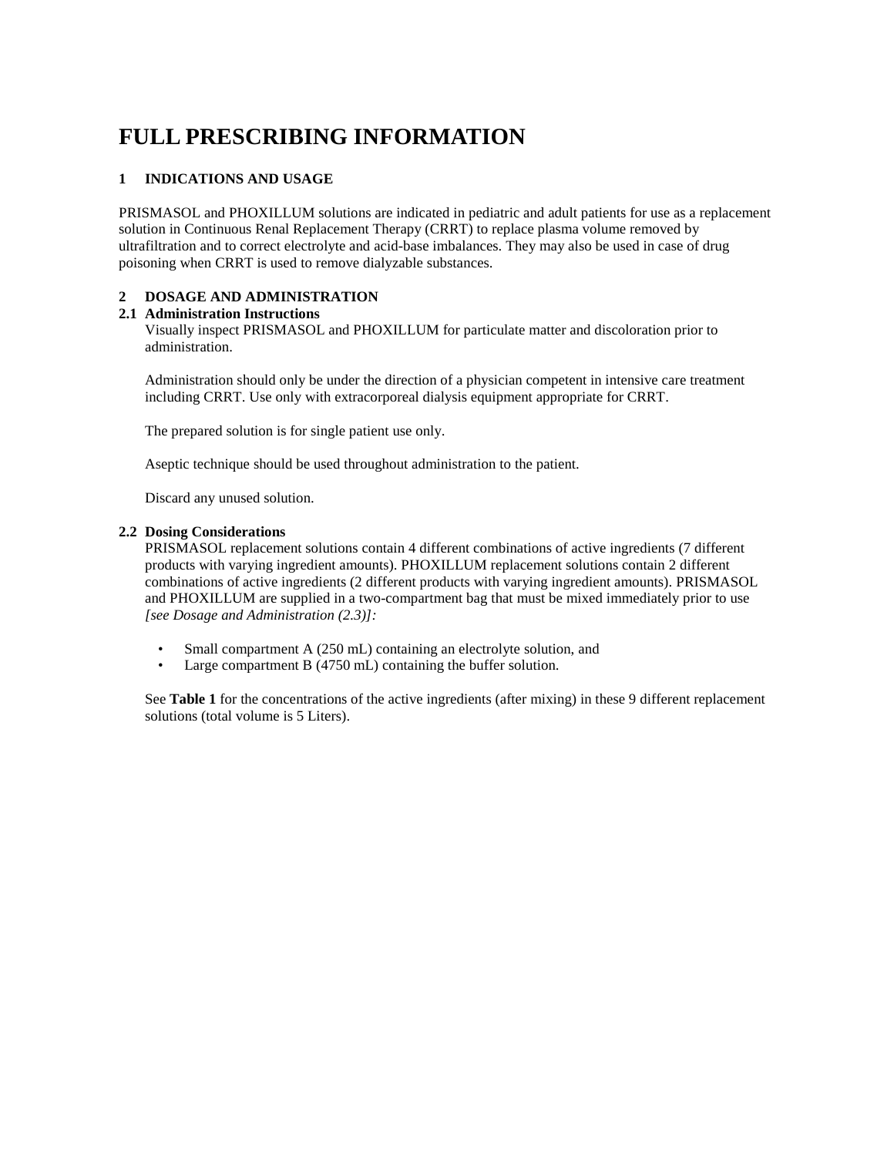# **FULL PRESCRIBING INFORMATION**

# **1 INDICATIONS AND USAGE**

PRISMASOL and PHOXILLUM solutions are indicated in pediatric and adult patients for use as a replacement solution in Continuous Renal Replacement Therapy (CRRT) to replace plasma volume removed by ultrafiltration and to correct electrolyte and acid-base imbalances. They may also be used in case of drug poisoning when CRRT is used to remove dialyzable substances.

# **2 DOSAGE AND ADMINISTRATION**

# **2.1 Administration Instructions**

Visually inspect PRISMASOL and PHOXILLUM for particulate matter and discoloration prior to administration.

Administration should only be under the direction of a physician competent in intensive care treatment including CRRT. Use only with extracorporeal dialysis equipment appropriate for CRRT.

The prepared solution is for single patient use only.

Aseptic technique should be used throughout administration to the patient.

Discard any unused solution.

# **2.2 Dosing Considerations**

PRISMASOL replacement solutions contain 4 different combinations of active ingredients (7 different products with varying ingredient amounts). PHOXILLUM replacement solutions contain 2 different combinations of active ingredients (2 different products with varying ingredient amounts). PRISMASOL and PHOXILLUM are supplied in a two-compartment bag that must be mixed immediately prior to use *[see Dosage and Administration (2.3)]:* 

- Small compartment A (250 mL) containing an electrolyte solution, and
- Large compartment B (4750 mL) containing the buffer solution.

See **Table 1** for the concentrations of the active ingredients (after mixing) in these 9 different replacement solutions (total volume is 5 Liters).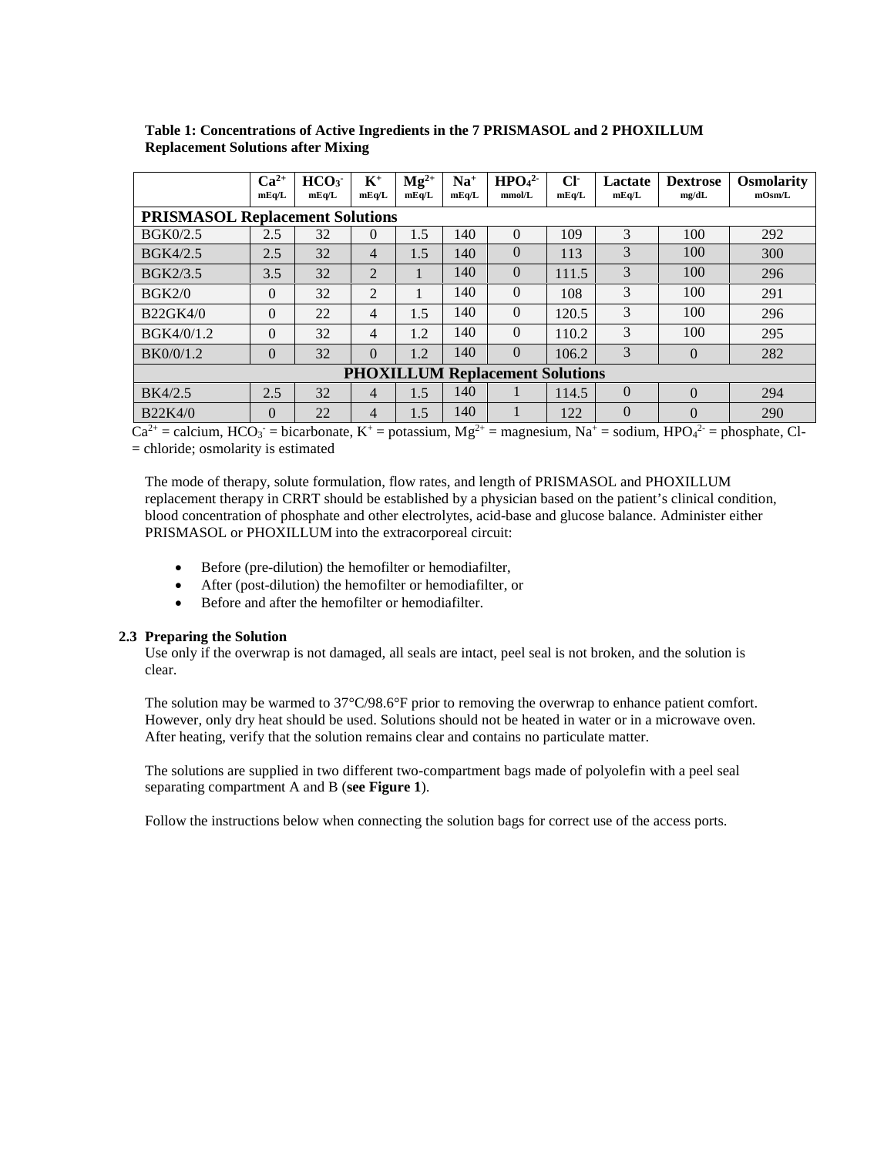|                                        | $Ca2+$<br>mEq/L                        | HCO <sub>3</sub><br>mEq/L | $K^+$<br>mEq/L | $\mathbf{M}\mathbf{g}^{2+}$<br>mEq/L | $Na+$<br>mEq/L | HPO <sub>4</sub> <sup>2</sup><br>mmol/L | $Cl^{\cdot}$<br>mEq/L | Lactate<br>mEq/L | <b>Dextrose</b><br>mg/dL | <b>Osmolarity</b><br>mOsm/L |
|----------------------------------------|----------------------------------------|---------------------------|----------------|--------------------------------------|----------------|-----------------------------------------|-----------------------|------------------|--------------------------|-----------------------------|
|                                        | <b>PRISMASOL Replacement Solutions</b> |                           |                |                                      |                |                                         |                       |                  |                          |                             |
| <b>BGK0/2.5</b>                        | 2.5                                    | 32                        | $\Omega$       | 1.5                                  | 140            | $\Omega$                                | 109                   | 3                | 100                      | 292                         |
| <b>BGK4/2.5</b>                        | 2.5                                    | 32                        | $\overline{4}$ | 1.5                                  | 140            | $\theta$                                | 113                   | 3                | 100                      | 300                         |
| <b>BGK2/3.5</b>                        | 3.5                                    | 32                        | 2              |                                      | 140            | $\Omega$                                | 111.5                 | 3                | 100                      | 296                         |
| BGK2/0                                 | $\overline{0}$                         | 32                        | $\overline{2}$ |                                      | 140            | $\Omega$                                | 108                   | 3                | 100                      | 291                         |
| <b>B22GK4/0</b>                        | $\overline{0}$                         | 22                        | 4              | 1.5                                  | 140            | $\Omega$                                | 120.5                 | 3                | 100                      | 296                         |
| BGK4/0/1.2                             | $\Omega$                               | 32                        | $\overline{4}$ | 1.2                                  | 140            | $\Omega$                                | 110.2                 | 3                | 100                      | 295                         |
| BK0/0/1.2                              | $\theta$                               | 32                        | $\theta$       | 1.2                                  | 140            | $\Omega$                                | 106.2                 | 3                | $\theta$                 | 282                         |
| <b>PHOXILLUM Replacement Solutions</b> |                                        |                           |                |                                      |                |                                         |                       |                  |                          |                             |
| BK4/2.5                                | 2.5                                    | 32                        | 4              | 1.5                                  | 140            |                                         | 114.5                 | $\overline{0}$   | $\Omega$                 | 294                         |
| <b>B22K4/0</b>                         | $\overline{0}$                         | 22                        | 4              | 1.5                                  | 140            |                                         | 122                   | $\theta$         | $\overline{0}$           | 290                         |

**Table 1: Concentrations of Active Ingredients in the 7 PRISMASOL and 2 PHOXILLUM Replacement Solutions after Mixing** 

 $Ca^{2+} =$  calcium,  $HCO_3 =$  bicarbonate,  $K^+ =$  potassium,  $Mg^{2+} =$  magnesium,  $Na^+ =$  sodium,  $HPO_4^{2-} =$  phosphate, Cl-= chloride; osmolarity is estimated

The mode of therapy, solute formulation, flow rates, and length of PRISMASOL and PHOXILLUM replacement therapy in CRRT should be established by a physician based on the patient's clinical condition, blood concentration of phosphate and other electrolytes, acid-base and glucose balance. Administer either PRISMASOL or PHOXILLUM into the extracorporeal circuit:

- Before (pre-dilution) the hemofilter or hemodiafilter,
- After (post-dilution) the hemofilter or hemodiafilter, or
- Before and after the hemofilter or hemodiafilter.

# **2.3 Preparing the Solution**

Use only if the overwrap is not damaged, all seals are intact, peel seal is not broken, and the solution is clear.

The solution may be warmed to 37°C/98.6°F prior to removing the overwrap to enhance patient comfort. However, only dry heat should be used. Solutions should not be heated in water or in a microwave oven. After heating, verify that the solution remains clear and contains no particulate matter.

The solutions are supplied in two different two-compartment bags made of polyolefin with a peel seal separating compartment A and B (**see Figure 1**).

Follow the instructions below when connecting the solution bags for correct use of the access ports.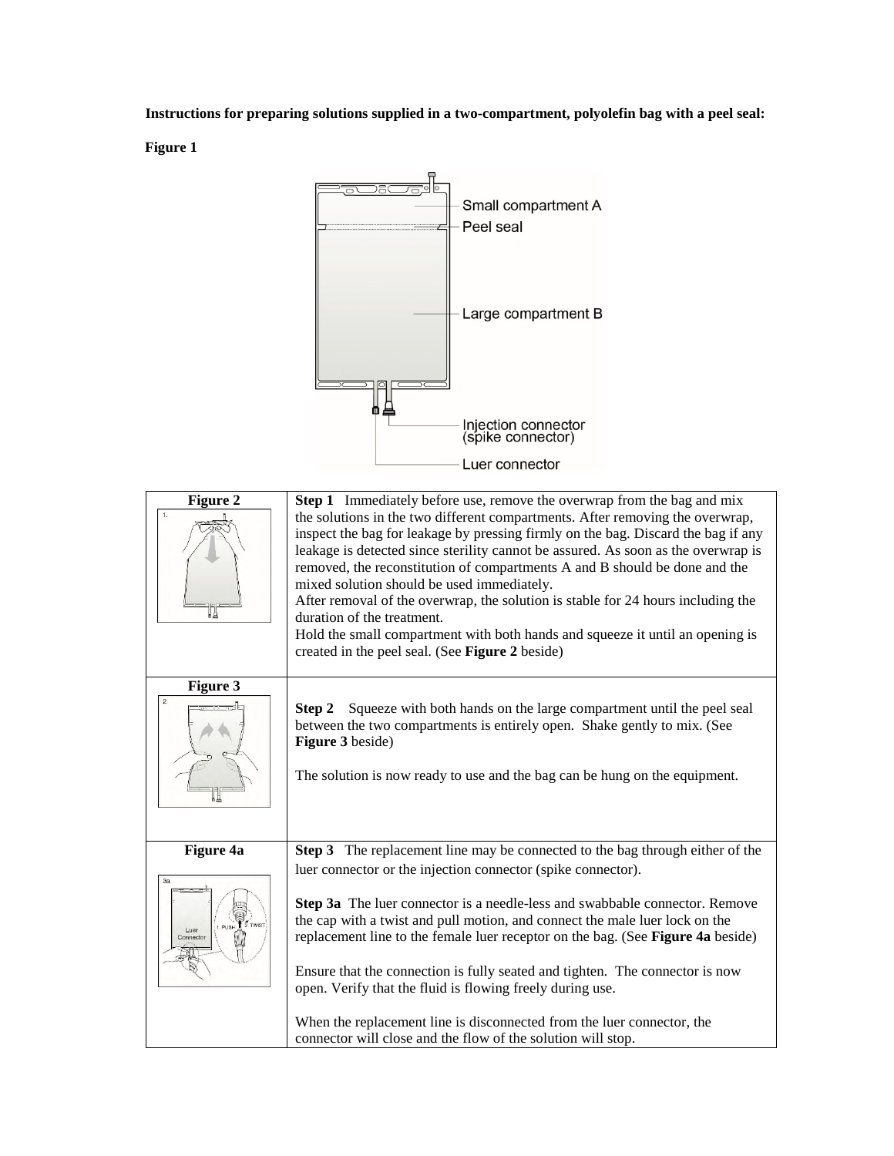# **Instructions for preparing solutions supplied in a two-compartment, polyolefin bag with a peel seal:**

**Figure 1** 



| Figure 2<br>1.<br>∦₩                                                               | <b>Step 1</b> Immediately before use, remove the overwrap from the bag and mix<br>the solutions in the two different compartments. After removing the overwrap,<br>inspect the bag for leakage by pressing firmly on the bag. Discard the bag if any<br>leakage is detected since sterility cannot be assured. As soon as the overwrap is<br>removed, the reconstitution of compartments A and B should be done and the<br>mixed solution should be used immediately.<br>After removal of the overwrap, the solution is stable for 24 hours including the<br>duration of the treatment.<br>Hold the small compartment with both hands and squeeze it until an opening is<br>created in the peel seal. (See Figure 2 beside) |
|------------------------------------------------------------------------------------|-----------------------------------------------------------------------------------------------------------------------------------------------------------------------------------------------------------------------------------------------------------------------------------------------------------------------------------------------------------------------------------------------------------------------------------------------------------------------------------------------------------------------------------------------------------------------------------------------------------------------------------------------------------------------------------------------------------------------------|
| Figure 3<br>$\overline{2}$ .                                                       | Squeeze with both hands on the large compartment until the peel seal<br>Step 2<br>between the two compartments is entirely open. Shake gently to mix. (See<br>Figure 3 beside)<br>The solution is now ready to use and the bag can be hung on the equipment.                                                                                                                                                                                                                                                                                                                                                                                                                                                                |
| Figure 4a<br>3a<br>$\overline{1}$ $\overline{2}$ TWIS<br>PUSH<br>Luer<br>Connector | Step 3 The replacement line may be connected to the bag through either of the<br>luer connector or the injection connector (spike connector).<br>Step 3a The luer connector is a needle-less and swabbable connector. Remove<br>the cap with a twist and pull motion, and connect the male luer lock on the<br>replacement line to the female luer receptor on the bag. (See Figure 4a beside)<br>Ensure that the connection is fully seated and tighten. The connector is now<br>open. Verify that the fluid is flowing freely during use.<br>When the replacement line is disconnected from the luer connector, the<br>connector will close and the flow of the solution will stop.                                       |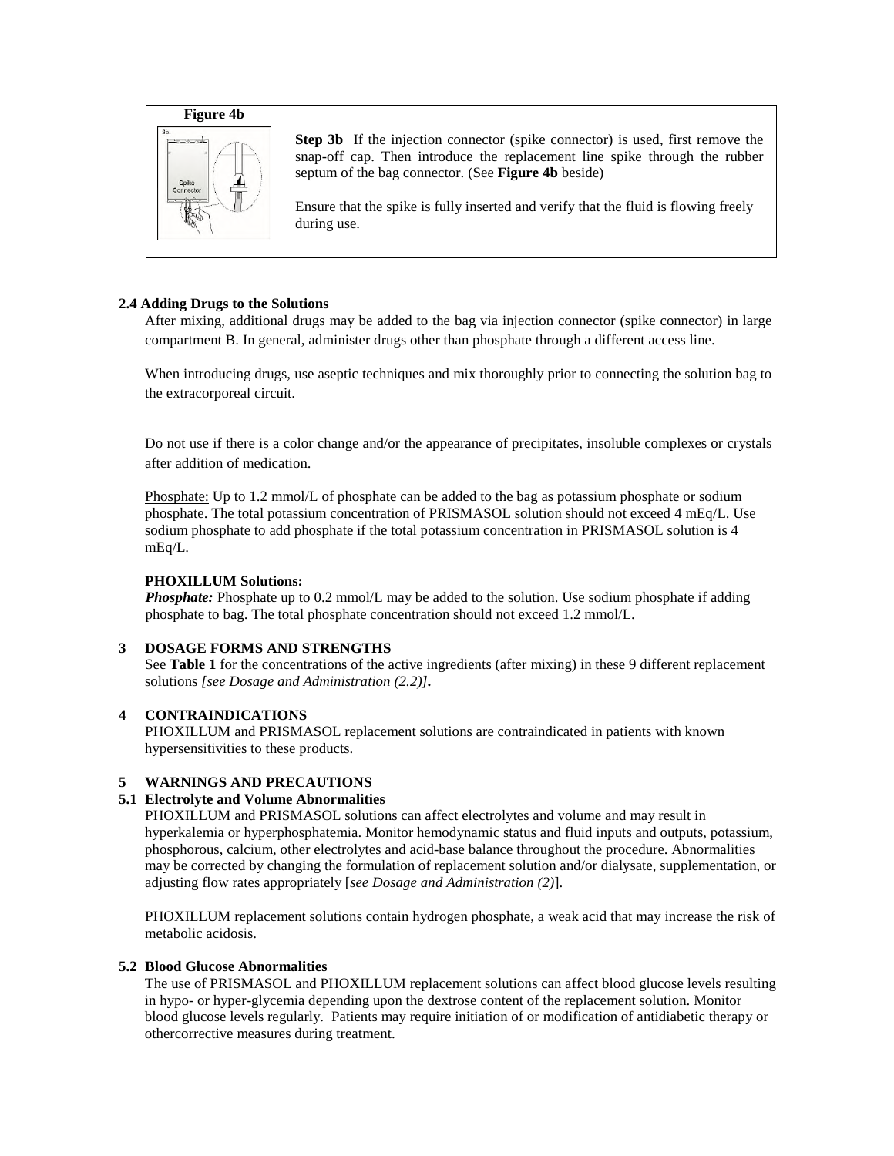

**Step 3b** If the injection connector (spike connector) is used, first remove the snap-off cap. Then introduce the replacement line spike through the rubber septum of the bag connector. (See **Figure 4b** beside)

Ensure that the spike is fully inserted and verify that the fluid is flowing freely during use.

# **2.4 Adding Drugs to the Solutions**

After mixing, additional drugs may be added to the bag via injection connector (spike connector) in large compartment B. In general, administer drugs other than phosphate through a different access line.

When introducing drugs, use aseptic techniques and mix thoroughly prior to connecting the solution bag to the extracorporeal circuit.

Do not use if there is a color change and/or the appearance of precipitates, insoluble complexes or crystals after addition of medication.

Phosphate: Up to 1.2 mmol/L of phosphate can be added to the bag as potassium phosphate or sodium phosphate. The total potassium concentration of PRISMASOL solution should not exceed 4 mEq/L. Use sodium phosphate to add phosphate if the total potassium concentration in PRISMASOL solution is 4 mEq/L.

# **PHOXILLUM Solutions:**

*Phosphate:* Phosphate up to 0.2 mmol/L may be added to the solution. Use sodium phosphate if adding phosphate to bag. The total phosphate concentration should not exceed 1.2 mmol/L.

# **3 DOSAGE FORMS AND STRENGTHS**

See **Table 1** for the concentrations of the active ingredients (after mixing) in these 9 different replacement solutions *[see Dosage and Administration (2.2)].*

#### **4 CONTRAINDICATIONS**

PHOXILLUM and PRISMASOL replacement solutions are contraindicated in patients with known hypersensitivities to these products.

# **5 WARNINGS AND PRECAUTIONS**

#### **5.1 Electrolyte and Volume Abnormalities**

PHOXILLUM and PRISMASOL solutions can affect electrolytes and volume and may result in hyperkalemia or hyperphosphatemia. Monitor hemodynamic status and fluid inputs and outputs, potassium, phosphorous, calcium, other electrolytes and acid-base balance throughout the procedure. Abnormalities may be corrected by changing the formulation of replacement solution and/or dialysate, supplementation, or adjusting flow rates appropriately [*see Dosage and Administration (2)*].

PHOXILLUM replacement solutions contain hydrogen phosphate, a weak acid that may increase the risk of metabolic acidosis.

#### **5.2 Blood Glucose Abnormalities**

The use of PRISMASOL and PHOXILLUM replacement solutions can affect blood glucose levels resulting in hypo- or hyper-glycemia depending upon the dextrose content of the replacement solution. Monitor blood glucose levels regularly. Patients may require initiation of or modification of antidiabetic therapy or othercorrective measures during treatment.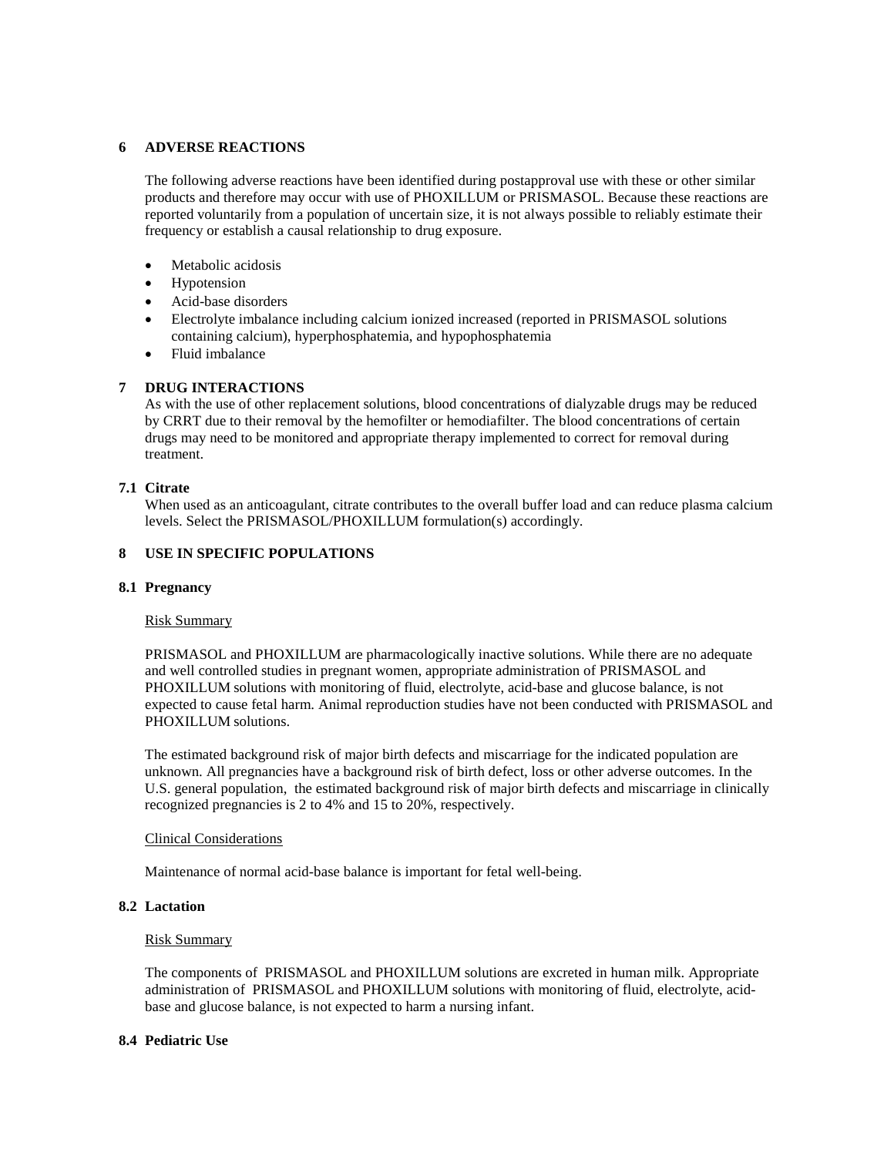# **6 ADVERSE REACTIONS**

The following adverse reactions have been identified during postapproval use with these or other similar products and therefore may occur with use of PHOXILLUM or PRISMASOL. Because these reactions are reported voluntarily from a population of uncertain size, it is not always possible to reliably estimate their frequency or establish a causal relationship to drug exposure.

- Metabolic acidosis
- Hypotension
- Acid-base disorders
- Electrolyte imbalance including calcium ionized increased (reported in PRISMASOL solutions containing calcium), hyperphosphatemia, and hypophosphatemia
- Fluid imbalance

# **7 DRUG INTERACTIONS**

As with the use of other replacement solutions, blood concentrations of dialyzable drugs may be reduced by CRRT due to their removal by the hemofilter or hemodiafilter. The blood concentrations of certain drugs may need to be monitored and appropriate therapy implemented to correct for removal during treatment.

#### **7.1 Citrate**

When used as an anticoagulant, citrate contributes to the overall buffer load and can reduce plasma calcium levels. Select the PRISMASOL/PHOXILLUM formulation(s) accordingly.

# **8 USE IN SPECIFIC POPULATIONS**

#### **8.1 Pregnancy**

#### Risk Summary

PRISMASOL and PHOXILLUM are pharmacologically inactive solutions. While there are no adequate and well controlled studies in pregnant women, appropriate administration of PRISMASOL and PHOXILLUM solutions with monitoring of fluid, electrolyte, acid-base and glucose balance, is not expected to cause fetal harm. Animal reproduction studies have not been conducted with PRISMASOL and PHOXILLUM solutions.

The estimated background risk of major birth defects and miscarriage for the indicated population are unknown. All pregnancies have a background risk of birth defect, loss or other adverse outcomes. In the U.S. general population, the estimated background risk of major birth defects and miscarriage in clinically recognized pregnancies is 2 to 4% and 15 to 20%, respectively.

#### Clinical Considerations

Maintenance of normal acid-base balance is important for fetal well-being.

## **8.2 Lactation**

#### Risk Summary

The components of PRISMASOL and PHOXILLUM solutions are excreted in human milk. Appropriate administration of PRISMASOL and PHOXILLUM solutions with monitoring of fluid, electrolyte, acidbase and glucose balance, is not expected to harm a nursing infant.

#### **8.4 Pediatric Use**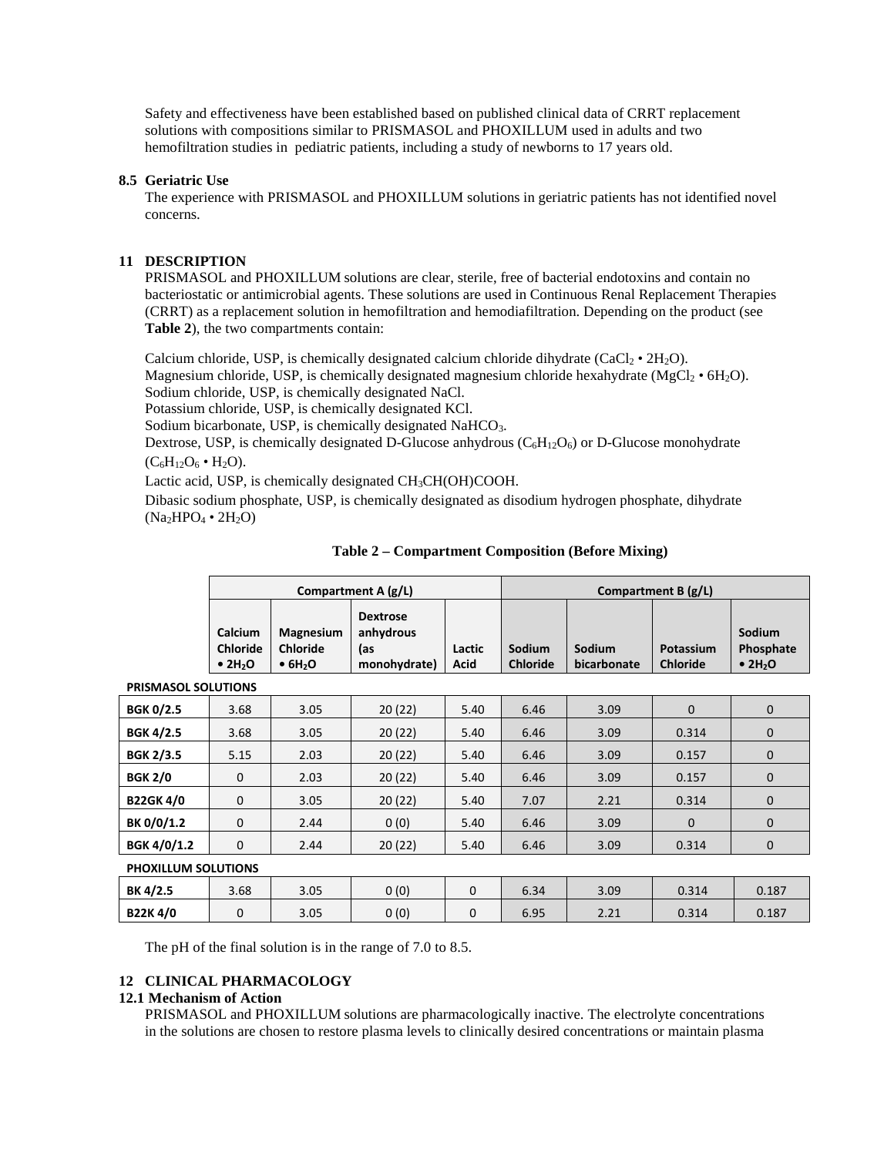Safety and effectiveness have been established based on published clinical data of CRRT replacement solutions with compositions similar to PRISMASOL and PHOXILLUM used in adults and two hemofiltration studies in pediatric patients, including a study of newborns to 17 years old.

# **8.5 Geriatric Use**

The experience with PRISMASOL and PHOXILLUM solutions in geriatric patients has not identified novel concerns.

# **11 DESCRIPTION**

PRISMASOL and PHOXILLUM solutions are clear, sterile, free of bacterial endotoxins and contain no bacteriostatic or antimicrobial agents. These solutions are used in Continuous Renal Replacement Therapies (CRRT) as a replacement solution in hemofiltration and hemodiafiltration. Depending on the product (see **Table 2**), the two compartments contain:

Calcium chloride, USP, is chemically designated calcium chloride dihydrate (CaCl<sub>2</sub> •  $2H_2O$ ). Magnesium chloride, USP, is chemically designated magnesium chloride hexahydrate (MgCl<sub>2</sub> •  $6H_2O$ ). Sodium chloride, USP, is chemically designated NaCl.

Potassium chloride, USP, is chemically designated KCl.

Sodium bicarbonate, USP, is chemically designated NaHCO<sub>3</sub>.

Dextrose, USP, is chemically designated D-Glucose anhydrous  $(C_6H_{12}O_6)$  or D-Glucose monohydrate  $(C_6H_{12}O_6 \bullet H_2O).$ 

Lactic acid, USP, is chemically designated CH<sub>3</sub>CH(OH)COOH.

Dibasic sodium phosphate, USP, is chemically designated as disodium hydrogen phosphate, dihydrate  $(Na<sub>2</sub>HPO<sub>4</sub> \cdot 2H<sub>2</sub>O)$ 

| Compartment $A(g/L)$                                                                                                            | Compartment $B(g/L)$                                |                |                           |                       |                              |                                                    |
|---------------------------------------------------------------------------------------------------------------------------------|-----------------------------------------------------|----------------|---------------------------|-----------------------|------------------------------|----------------------------------------------------|
| Calcium<br><b>Magnesium</b><br><b>Chloride</b><br><b>Chloride</b><br>$\bullet$ 2H <sub>2</sub> O<br>$\bullet$ 6H <sub>2</sub> O | <b>Dextrose</b><br>anhydrous<br>las<br>monohydrate) | Lactic<br>Acid | Sodium<br><b>Chloride</b> | Sodium<br>bicarbonate | Potassium<br><b>Chloride</b> | Sodium<br>Phosphate<br>$\bullet$ 2H <sub>2</sub> O |

**Table 2 – Compartment Composition (Before Mixing)** 

| <b>BGK 0/2.5</b>           | 3.68 | 3.05 | 20(22) | 5.40 | 6.46 | 3.09 | 0        | $\mathbf{0}$ |
|----------------------------|------|------|--------|------|------|------|----------|--------------|
| <b>BGK 4/2.5</b>           | 3.68 | 3.05 | 20(22) | 5.40 | 6.46 | 3.09 | 0.314    | $\mathbf{0}$ |
| <b>BGK 2/3.5</b>           | 5.15 | 2.03 | 20(22) | 5.40 | 6.46 | 3.09 | 0.157    | $\mathbf{0}$ |
| <b>BGK 2/0</b>             | 0    | 2.03 | 20(22) | 5.40 | 6.46 | 3.09 | 0.157    | $\mathbf{0}$ |
| <b>B22GK4/0</b>            | 0    | 3.05 | 20(22) | 5.40 | 7.07 | 2.21 | 0.314    | $\mathbf{0}$ |
| BK 0/0/1.2                 | 0    | 2.44 | 0(0)   | 5.40 | 6.46 | 3.09 | $\Omega$ | $\mathbf{0}$ |
| <b>BGK 4/0/1.2</b>         | 0    | 2.44 | 20(22) | 5.40 | 6.46 | 3.09 | 0.314    | $\mathbf{0}$ |
| <b>PHOXILLUM SOLUTIONS</b> |      |      |        |      |      |      |          |              |

**PRISMASOL SOLUTIONS** 

The pH of the final solution is in the range of 7.0 to 8.5.

# **12 CLINICAL PHARMACOLOGY**

# **12.1 Mechanism of Action**

PRISMASOL and PHOXILLUM solutions are pharmacologically inactive. The electrolyte concentrations in the solutions are chosen to restore plasma levels to clinically desired concentrations or maintain plasma

**BK 4/2.5** 3.68 3.05 0 (0) 0 6.34 3.09 0.314 0.187 **B22K 4/0** 0 0 3.05 0 00 0 6.95 2.21 0.314 0.187